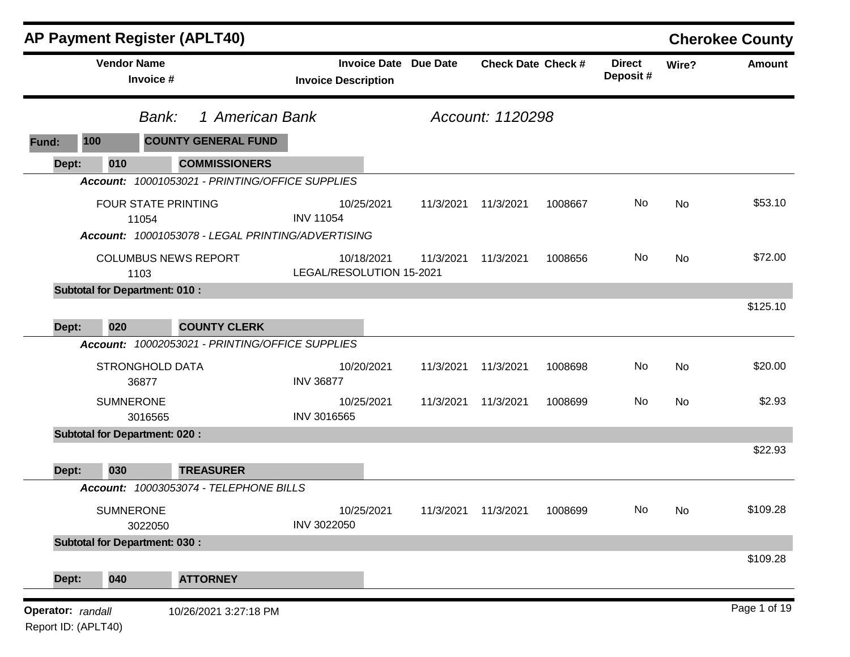|                                          | <b>AP Payment Register (APLT40)</b>               |                                                            |           |                               |         |                           |           | <b>Cherokee County</b> |
|------------------------------------------|---------------------------------------------------|------------------------------------------------------------|-----------|-------------------------------|---------|---------------------------|-----------|------------------------|
|                                          | <b>Vendor Name</b><br>Invoice #                   | <b>Invoice Date Due Date</b><br><b>Invoice Description</b> |           | <b>Check Date Check #</b>     |         | <b>Direct</b><br>Deposit# | Wire?     | Amount                 |
|                                          | Bank:                                             | 1 American Bank                                            |           | Account: 1120298              |         |                           |           |                        |
| 100<br>Fund:                             | <b>COUNTY GENERAL FUND</b>                        |                                                            |           |                               |         |                           |           |                        |
| 010<br>Dept:                             | <b>COMMISSIONERS</b>                              |                                                            |           |                               |         |                           |           |                        |
|                                          | Account: 10001053021 - PRINTING/OFFICE SUPPLIES   |                                                            |           |                               |         |                           |           |                        |
|                                          | <b>FOUR STATE PRINTING</b><br>11054               | 10/25/2021<br><b>INV 11054</b>                             | 11/3/2021 | 11/3/2021                     | 1008667 | No                        | No        | \$53.10                |
|                                          | Account: 10001053078 - LEGAL PRINTING/ADVERTISING |                                                            |           |                               |         |                           |           |                        |
|                                          | <b>COLUMBUS NEWS REPORT</b><br>1103               | 10/18/2021<br>LEGAL/RESOLUTION 15-2021                     | 11/3/2021 | 11/3/2021                     | 1008656 | No                        | No        | \$72.00                |
|                                          | <b>Subtotal for Department: 010:</b>              |                                                            |           |                               |         |                           |           |                        |
|                                          |                                                   |                                                            |           |                               |         |                           |           | \$125.10               |
| 020<br>Dept:                             | <b>COUNTY CLERK</b>                               |                                                            |           |                               |         |                           |           |                        |
|                                          | Account: 10002053021 - PRINTING/OFFICE SUPPLIES   |                                                            |           |                               |         |                           |           |                        |
|                                          | <b>STRONGHOLD DATA</b><br>36877                   | 10/20/2021<br><b>INV 36877</b>                             | 11/3/2021 | 11/3/2021                     | 1008698 | No                        | <b>No</b> | \$20.00                |
|                                          | <b>SUMNERONE</b><br>3016565                       | 10/25/2021<br>INV 3016565                                  | 11/3/2021 | 11/3/2021                     | 1008699 | No                        | No        | \$2.93                 |
|                                          | <b>Subtotal for Department: 020:</b>              |                                                            |           |                               |         |                           |           |                        |
|                                          |                                                   |                                                            |           |                               |         |                           |           | \$22.93                |
| 030<br>Dept:                             | <b>TREASURER</b>                                  |                                                            |           |                               |         |                           |           |                        |
|                                          | Account: 10003053074 - TELEPHONE BILLS            |                                                            |           |                               |         |                           |           |                        |
|                                          | <b>SUMNERONE</b><br>3022050                       | 10/25/2021<br>INV 3022050                                  |           | 11/3/2021  11/3/2021  1008699 |         | No                        | <b>No</b> | \$109.28               |
|                                          | <b>Subtotal for Department: 030:</b>              |                                                            |           |                               |         |                           |           |                        |
| 040<br>Dept:                             | <b>ATTORNEY</b>                                   |                                                            |           |                               |         |                           |           | \$109.28               |
| Operator: randall<br>Report ID: (APLT40) | 10/26/2021 3:27:18 PM                             |                                                            |           |                               |         |                           |           | Page 1 of 19           |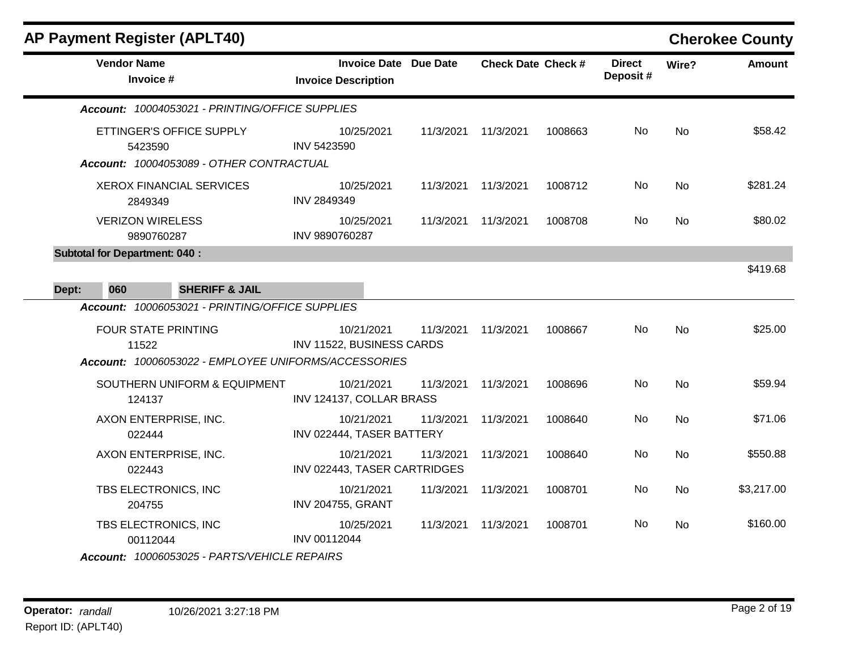|       |                                       | <b>AP Payment Register (APLT40)</b>                                  |                                            |                       |                           |         |                           |           | <b>Cherokee County</b> |
|-------|---------------------------------------|----------------------------------------------------------------------|--------------------------------------------|-----------------------|---------------------------|---------|---------------------------|-----------|------------------------|
|       | <b>Vendor Name</b><br>Invoice #       |                                                                      | <b>Invoice Description</b>                 | Invoice Date Due Date | <b>Check Date Check #</b> |         | <b>Direct</b><br>Deposit# | Wire?     | <b>Amount</b>          |
|       |                                       | Account: 10004053021 - PRINTING/OFFICE SUPPLIES                      |                                            |                       |                           |         |                           |           |                        |
|       | 5423590                               | ETTINGER'S OFFICE SUPPLY<br>Account: 10004053089 - OTHER CONTRACTUAL | 10/25/2021<br>INV 5423590                  | 11/3/2021             | 11/3/2021                 | 1008663 | No.                       | No        | \$58.42                |
|       | 2849349                               | <b>XEROX FINANCIAL SERVICES</b>                                      | 10/25/2021<br><b>INV 2849349</b>           | 11/3/2021             | 11/3/2021                 | 1008712 | No.                       | No        | \$281.24               |
|       | <b>VERIZON WIRELESS</b><br>9890760287 |                                                                      | 10/25/2021<br>INV 9890760287               | 11/3/2021             | 11/3/2021                 | 1008708 | No.                       | No        | \$80.02                |
|       | <b>Subtotal for Department: 040:</b>  |                                                                      |                                            |                       |                           |         |                           |           |                        |
| Dept: | 060                                   | <b>SHERIFF &amp; JAIL</b>                                            |                                            |                       |                           |         |                           |           | \$419.68               |
|       |                                       | Account: 10006053021 - PRINTING/OFFICE SUPPLIES                      |                                            |                       |                           |         |                           |           |                        |
|       | <b>FOUR STATE PRINTING</b><br>11522   | Account: 10006053022 - EMPLOYEE UNIFORMS/ACCESSORIES                 | 10/21/2021<br>INV 11522, BUSINESS CARDS    | 11/3/2021             | 11/3/2021                 | 1008667 | No.                       | No        | \$25.00                |
|       | 124137                                | SOUTHERN UNIFORM & EQUIPMENT                                         | 10/21/2021<br>INV 124137, COLLAR BRASS     | 11/3/2021             | 11/3/2021                 | 1008696 | No.                       | <b>No</b> | \$59.94                |
|       | 022444                                | AXON ENTERPRISE, INC.                                                | 10/21/2021<br>INV 022444, TASER BATTERY    | 11/3/2021             | 11/3/2021                 | 1008640 | No.                       | <b>No</b> | \$71.06                |
|       | 022443                                | AXON ENTERPRISE, INC.                                                | 10/21/2021<br>INV 022443, TASER CARTRIDGES | 11/3/2021             | 11/3/2021                 | 1008640 | No.                       | No        | \$550.88               |
|       | TBS ELECTRONICS, INC<br>204755        |                                                                      | 10/21/2021<br><b>INV 204755, GRANT</b>     | 11/3/2021             | 11/3/2021                 | 1008701 | No                        | No        | \$3,217.00             |
|       | TBS ELECTRONICS, INC<br>00112044      |                                                                      | 10/25/2021<br>INV 00112044                 | 11/3/2021             | 11/3/2021                 | 1008701 | No.                       | No.       | \$160.00               |
|       |                                       | Account: 10006053025 - PARTS/VEHICLE REPAIRS                         |                                            |                       |                           |         |                           |           |                        |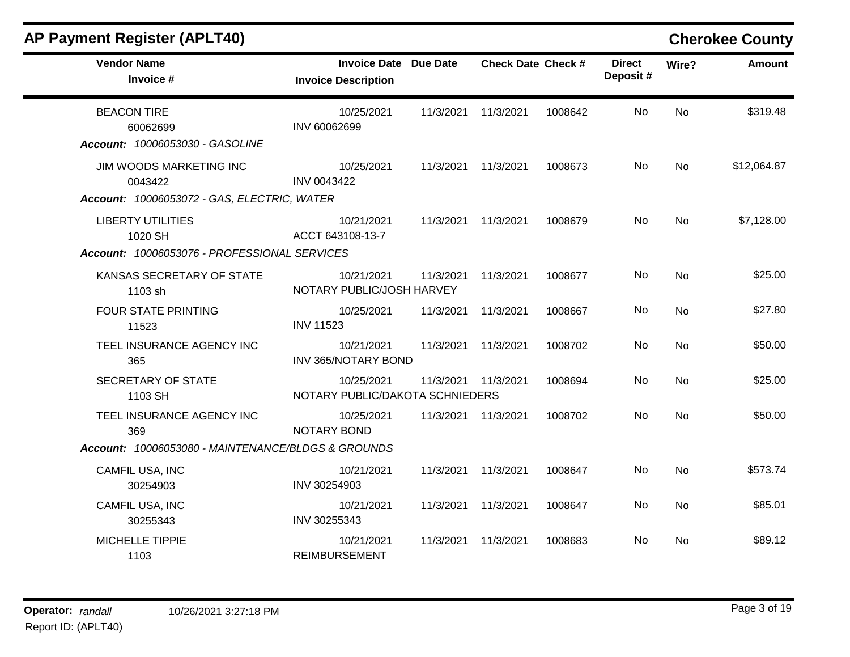| <b>Vendor Name</b><br>Invoice #                                                                                      | <b>Invoice Date Due Date</b><br><b>Invoice Description</b> |           | <b>Check Date Check #</b> |         | <b>Direct</b><br>Deposit# | Wire?     | <b>Amount</b> |
|----------------------------------------------------------------------------------------------------------------------|------------------------------------------------------------|-----------|---------------------------|---------|---------------------------|-----------|---------------|
| <b>BEACON TIRE</b><br>60062699                                                                                       | 10/25/2021<br>INV 60062699                                 | 11/3/2021 | 11/3/2021                 | 1008642 | No                        | <b>No</b> | \$319.48      |
| Account: 10006053030 - GASOLINE<br>JIM WOODS MARKETING INC<br>0043422<br>Account: 10006053072 - GAS, ELECTRIC, WATER | 10/25/2021<br>INV 0043422                                  | 11/3/2021 | 11/3/2021                 | 1008673 | No                        | <b>No</b> | \$12,064.87   |
| <b>LIBERTY UTILITIES</b><br>1020 SH                                                                                  | 10/21/2021<br>ACCT 643108-13-7                             | 11/3/2021 | 11/3/2021                 | 1008679 | No                        | <b>No</b> | \$7,128.00    |
| Account: 10006053076 - PROFESSIONAL SERVICES<br>KANSAS SECRETARY OF STATE<br>1103 sh                                 | 10/21/2021<br>NOTARY PUBLIC/JOSH HARVEY                    | 11/3/2021 | 11/3/2021                 | 1008677 | No                        | No        | \$25.00       |
| FOUR STATE PRINTING<br>11523                                                                                         | 10/25/2021<br><b>INV 11523</b>                             | 11/3/2021 | 11/3/2021                 | 1008667 | No                        | No        | \$27.80       |
| TEEL INSURANCE AGENCY INC<br>365                                                                                     | 10/21/2021<br>INV 365/NOTARY BOND                          | 11/3/2021 | 11/3/2021                 | 1008702 | No                        | No        | \$50.00       |
| SECRETARY OF STATE<br>1103 SH                                                                                        | 10/25/2021<br>NOTARY PUBLIC/DAKOTA SCHNIEDERS              | 11/3/2021 | 11/3/2021                 | 1008694 | No                        | No        | \$25.00       |
| TEEL INSURANCE AGENCY INC<br>369                                                                                     | 10/25/2021<br><b>NOTARY BOND</b>                           | 11/3/2021 | 11/3/2021                 | 1008702 | No                        | <b>No</b> | \$50.00       |
| Account: 10006053080 - MAINTENANCE/BLDGS & GROUNDS                                                                   |                                                            |           |                           |         |                           |           |               |
| CAMFIL USA, INC<br>30254903                                                                                          | 10/21/2021<br>INV 30254903                                 | 11/3/2021 | 11/3/2021                 | 1008647 | No                        | <b>No</b> | \$573.74      |
| CAMFIL USA, INC<br>30255343                                                                                          | 10/21/2021<br>INV 30255343                                 | 11/3/2021 | 11/3/2021                 | 1008647 | No                        | No        | \$85.01       |
| MICHELLE TIPPIE<br>1103                                                                                              | 10/21/2021<br><b>REIMBURSEMENT</b>                         | 11/3/2021 | 11/3/2021                 | 1008683 | No                        | No        | \$89.12       |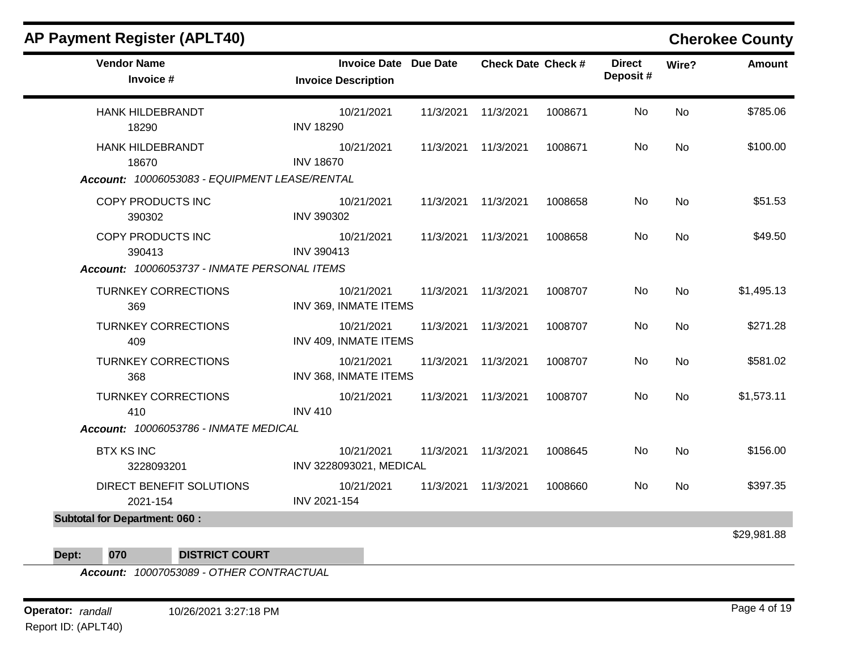| <b>Vendor Name</b><br>Invoice #                                                   | <b>Invoice Date Due Date</b><br><b>Invoice Description</b> |           | <b>Check Date Check #</b> |         | <b>Direct</b><br>Deposit # | Wire?     | <b>Amount</b> |
|-----------------------------------------------------------------------------------|------------------------------------------------------------|-----------|---------------------------|---------|----------------------------|-----------|---------------|
| <b>HANK HILDEBRANDT</b><br>18290                                                  | 10/21/2021<br><b>INV 18290</b>                             | 11/3/2021 | 11/3/2021                 | 1008671 | No                         | <b>No</b> | \$785.06      |
| <b>HANK HILDEBRANDT</b><br>18670<br>Account: 10006053083 - EQUIPMENT LEASE/RENTAL | 10/21/2021<br><b>INV 18670</b>                             | 11/3/2021 | 11/3/2021                 | 1008671 | No                         | <b>No</b> | \$100.00      |
| COPY PRODUCTS INC<br>390302                                                       | 10/21/2021<br><b>INV 390302</b>                            | 11/3/2021 | 11/3/2021                 | 1008658 | No                         | <b>No</b> | \$51.53       |
| COPY PRODUCTS INC<br>390413                                                       | 10/21/2021<br>INV 390413                                   | 11/3/2021 | 11/3/2021                 | 1008658 | No                         | <b>No</b> | \$49.50       |
| Account: 10006053737 - INMATE PERSONAL ITEMS                                      |                                                            |           |                           |         |                            |           |               |
| <b>TURNKEY CORRECTIONS</b><br>369                                                 | 10/21/2021<br>INV 369, INMATE ITEMS                        |           | 11/3/2021 11/3/2021       | 1008707 | No                         | No        | \$1,495.13    |
| <b>TURNKEY CORRECTIONS</b><br>409                                                 | 10/21/2021<br>INV 409, INMATE ITEMS                        | 11/3/2021 | 11/3/2021                 | 1008707 | No                         | <b>No</b> | \$271.28      |
| <b>TURNKEY CORRECTIONS</b><br>368                                                 | 10/21/2021<br>INV 368, INMATE ITEMS                        | 11/3/2021 | 11/3/2021                 | 1008707 | No                         | <b>No</b> | \$581.02      |
| <b>TURNKEY CORRECTIONS</b><br>410                                                 | 10/21/2021<br><b>INV 410</b>                               | 11/3/2021 | 11/3/2021                 | 1008707 | No                         | <b>No</b> | \$1,573.11    |
| Account: 10006053786 - INMATE MEDICAL                                             |                                                            |           |                           |         |                            |           |               |
| <b>BTX KS INC</b><br>3228093201                                                   | 10/21/2021<br>INV 3228093021, MEDICAL                      | 11/3/2021 | 11/3/2021                 | 1008645 | No                         | <b>No</b> | \$156.00      |
| DIRECT BENEFIT SOLUTIONS<br>2021-154                                              | 10/21/2021<br>INV 2021-154                                 | 11/3/2021 | 11/3/2021                 | 1008660 | No                         | No        | \$397.35      |
| <b>Subtotal for Department: 060:</b>                                              |                                                            |           |                           |         |                            |           |               |
| Dept:<br>070<br><b>DISTRICT COURT</b>                                             |                                                            |           |                           |         |                            |           | \$29,981.88   |

*Account: 10007053089 - OTHER CONTRACTUAL*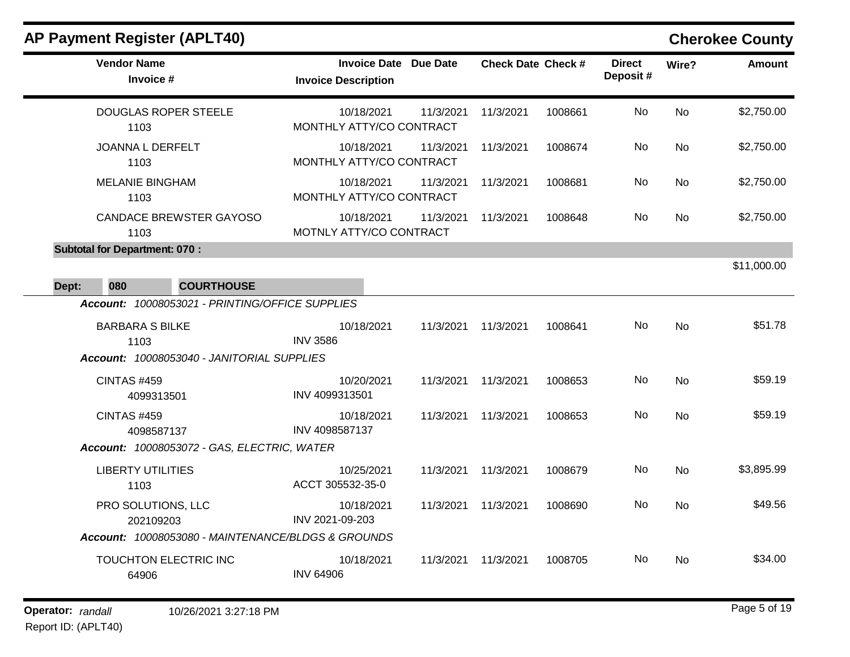|       | <b>AP Payment Register (APLT40)</b>                |                                                            |           |                           |         |                           |                | <b>Cherokee County</b> |
|-------|----------------------------------------------------|------------------------------------------------------------|-----------|---------------------------|---------|---------------------------|----------------|------------------------|
|       | <b>Vendor Name</b><br>Invoice #                    | <b>Invoice Date Due Date</b><br><b>Invoice Description</b> |           | <b>Check Date Check #</b> |         | <b>Direct</b><br>Deposit# | Wire?          | <b>Amount</b>          |
|       | <b>DOUGLAS ROPER STEELE</b><br>1103                | 10/18/2021<br>MONTHLY ATTY/CO CONTRACT                     | 11/3/2021 | 11/3/2021                 | 1008661 | No.                       | <b>No</b>      | \$2,750.00             |
|       | <b>JOANNA L DERFELT</b><br>1103                    | 10/18/2021<br>MONTHLY ATTY/CO CONTRACT                     | 11/3/2021 | 11/3/2021                 | 1008674 | No.                       | No             | \$2,750.00             |
|       | <b>MELANIE BINGHAM</b><br>1103                     | 10/18/2021<br>MONTHLY ATTY/CO CONTRACT                     | 11/3/2021 | 11/3/2021                 | 1008681 | No.                       | No             | \$2,750.00             |
|       | <b>CANDACE BREWSTER GAYOSO</b><br>1103             | 10/18/2021<br>MOTNLY ATTY/CO CONTRACT                      | 11/3/2021 | 11/3/2021                 | 1008648 | No.                       | <b>No</b>      | \$2,750.00             |
|       | <b>Subtotal for Department: 070:</b>               |                                                            |           |                           |         |                           |                |                        |
|       |                                                    |                                                            |           |                           |         |                           |                | \$11,000.00            |
| Dept: | 080<br><b>COURTHOUSE</b>                           |                                                            |           |                           |         |                           |                |                        |
|       | Account: 10008053021 - PRINTING/OFFICE SUPPLIES    |                                                            |           |                           |         |                           |                |                        |
|       | <b>BARBARA S BILKE</b>                             | 10/18/2021                                                 | 11/3/2021 | 11/3/2021                 | 1008641 | No.                       | N <sub>o</sub> | \$51.78                |
|       | 1103<br>Account: 10008053040 - JANITORIAL SUPPLIES | <b>INV 3586</b>                                            |           |                           |         |                           |                |                        |
|       | <b>CINTAS #459</b>                                 | 10/20/2021                                                 | 11/3/2021 | 11/3/2021                 | 1008653 | No                        | <b>No</b>      | \$59.19                |
|       | 4099313501                                         | INV 4099313501                                             |           |                           |         |                           |                |                        |
|       | CINTAS #459<br>4098587137                          | 10/18/2021<br>INV 4098587137                               | 11/3/2021 | 11/3/2021                 | 1008653 | No.                       | N <sub>o</sub> | \$59.19                |
|       | Account: 10008053072 - GAS, ELECTRIC, WATER        |                                                            |           |                           |         |                           |                |                        |
|       | <b>LIBERTY UTILITIES</b><br>1103                   | 10/25/2021<br>ACCT 305532-35-0                             | 11/3/2021 | 11/3/2021                 | 1008679 | No                        | <b>No</b>      | \$3,895.99             |
|       | PRO SOLUTIONS, LLC<br>202109203                    | 10/18/2021<br>INV 2021-09-203                              | 11/3/2021 | 11/3/2021                 | 1008690 | No.                       | No             | \$49.56                |
|       | Account: 10008053080 - MAINTENANCE/BLDGS & GROUNDS |                                                            |           |                           |         |                           |                |                        |
|       | TOUCHTON ELECTRIC INC<br>64906                     | 10/18/2021<br><b>INV 64906</b>                             | 11/3/2021 | 11/3/2021                 | 1008705 | No.                       | No.            | \$34.00                |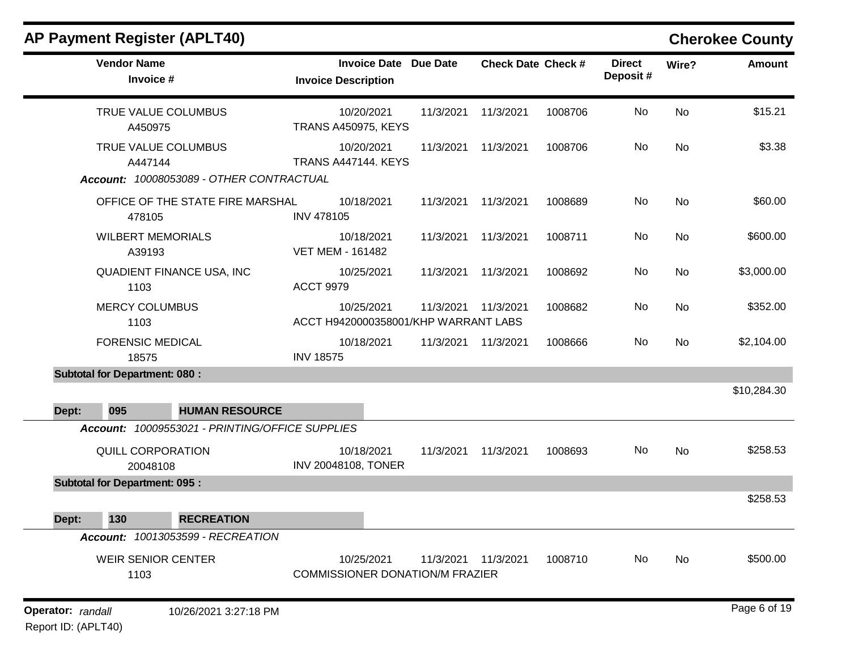| <b>AP Payment Register (APLT40)</b>                                                     |                                                      |                 |                           |         |                           |       | <b>Cherokee County</b> |
|-----------------------------------------------------------------------------------------|------------------------------------------------------|-----------------|---------------------------|---------|---------------------------|-------|------------------------|
| <b>Vendor Name</b><br>Invoice #                                                         | <b>Invoice Date</b><br><b>Invoice Description</b>    | <b>Due Date</b> | <b>Check Date Check #</b> |         | <b>Direct</b><br>Deposit# | Wire? | <b>Amount</b>          |
| TRUE VALUE COLUMBUS<br>A450975                                                          | 10/20/2021<br><b>TRANS A450975, KEYS</b>             | 11/3/2021       | 11/3/2021                 | 1008706 | No                        | No    | \$15.21                |
| TRUE VALUE COLUMBUS<br>A447144<br>Account: 10008053089 - OTHER CONTRACTUAL              | 10/20/2021<br><b>TRANS A447144. KEYS</b>             | 11/3/2021       | 11/3/2021                 | 1008706 | No                        | No    | \$3.38                 |
| OFFICE OF THE STATE FIRE MARSHAL<br>478105                                              | 10/18/2021<br><b>INV 478105</b>                      | 11/3/2021       | 11/3/2021                 | 1008689 | No                        | No    | \$60.00                |
| <b>WILBERT MEMORIALS</b><br>A39193                                                      | 10/18/2021<br><b>VET MEM - 161482</b>                | 11/3/2021       | 11/3/2021                 | 1008711 | No                        | No    | \$600.00               |
| QUADIENT FINANCE USA, INC<br>1103                                                       | 10/25/2021<br><b>ACCT 9979</b>                       | 11/3/2021       | 11/3/2021                 | 1008692 | No                        | No    | \$3,000.00             |
| <b>MERCY COLUMBUS</b><br>1103                                                           | 10/25/2021<br>ACCT H9420000358001/KHP WARRANT LABS   | 11/3/2021       | 11/3/2021                 | 1008682 | No                        | No    | \$352.00               |
| <b>FORENSIC MEDICAL</b><br>18575                                                        | 10/18/2021<br><b>INV 18575</b>                       | 11/3/2021       | 11/3/2021                 | 1008666 | No                        | No    | \$2,104.00             |
| <b>Subtotal for Department: 080:</b>                                                    |                                                      |                 |                           |         |                           |       |                        |
| 095<br><b>HUMAN RESOURCE</b><br>Dept:                                                   |                                                      |                 |                           |         |                           |       | \$10,284.30            |
| Account: 10009553021 - PRINTING/OFFICE SUPPLIES<br><b>QUILL CORPORATION</b><br>20048108 | 10/18/2021<br>INV 20048108, TONER                    | 11/3/2021       | 11/3/2021                 | 1008693 | No                        | No    | \$258.53               |
| <b>Subtotal for Department: 095:</b>                                                    |                                                      |                 |                           |         |                           |       |                        |
| Dept:<br>130<br><b>RECREATION</b>                                                       |                                                      |                 |                           |         |                           |       | \$258.53               |
| Account: 10013053599 - RECREATION                                                       |                                                      |                 |                           |         |                           |       |                        |
| <b>WEIR SENIOR CENTER</b><br>1103                                                       | 10/25/2021<br><b>COMMISSIONER DONATION/M FRAZIER</b> |                 | 11/3/2021 11/3/2021       | 1008710 | No                        | No    | \$500.00               |
| Operator: randall<br>10/26/2021 3:27:18 PM                                              |                                                      |                 |                           |         |                           |       | Page 6 of 19           |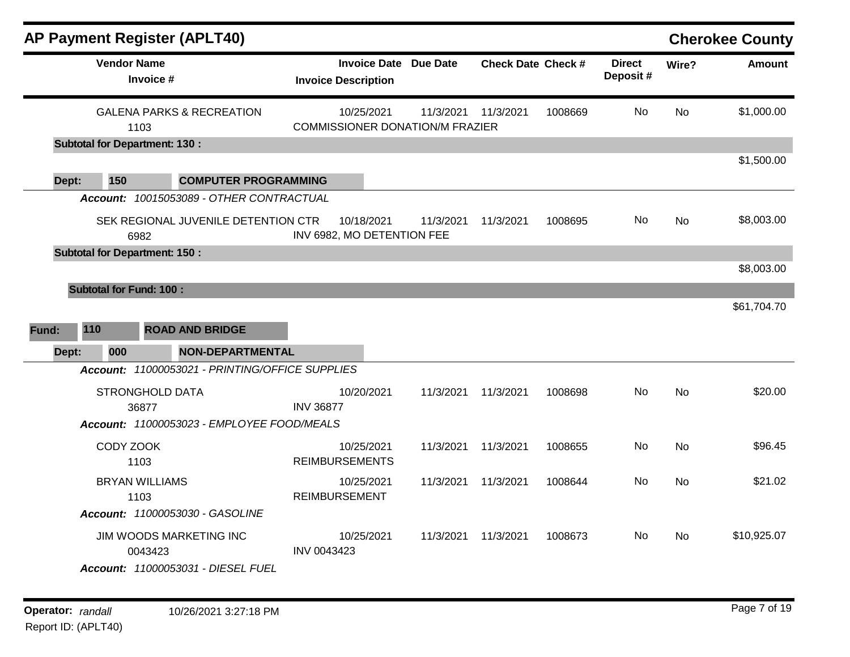|       |                                      | <b>AP Payment Register (APLT40)</b>                           |                                                            |           |                           |         |                           |           | <b>Cherokee County</b> |
|-------|--------------------------------------|---------------------------------------------------------------|------------------------------------------------------------|-----------|---------------------------|---------|---------------------------|-----------|------------------------|
|       | <b>Vendor Name</b><br>Invoice #      |                                                               | <b>Invoice Date Due Date</b><br><b>Invoice Description</b> |           | <b>Check Date Check #</b> |         | <b>Direct</b><br>Deposit# | Wire?     | <b>Amount</b>          |
|       | 1103                                 | <b>GALENA PARKS &amp; RECREATION</b>                          | 10/25/2021<br><b>COMMISSIONER DONATION/M FRAZIER</b>       | 11/3/2021 | 11/3/2021                 | 1008669 | No                        | <b>No</b> | \$1,000.00             |
|       | <b>Subtotal for Department: 130:</b> |                                                               |                                                            |           |                           |         |                           |           | \$1,500.00             |
| Dept: | 150                                  | <b>COMPUTER PROGRAMMING</b>                                   |                                                            |           |                           |         |                           |           |                        |
|       |                                      | Account: 10015053089 - OTHER CONTRACTUAL                      |                                                            |           |                           |         |                           |           |                        |
|       | 6982                                 | SEK REGIONAL JUVENILE DETENTION CTR                           | 10/18/2021<br>INV 6982, MO DETENTION FEE                   | 11/3/2021 | 11/3/2021                 | 1008695 | No.                       | <b>No</b> | \$8,003.00             |
|       | <b>Subtotal for Department: 150:</b> |                                                               |                                                            |           |                           |         |                           |           | \$8,003.00             |
|       | <b>Subtotal for Fund: 100:</b>       |                                                               |                                                            |           |                           |         |                           |           | \$61,704.70            |
| Fund: | 110                                  | <b>ROAD AND BRIDGE</b>                                        |                                                            |           |                           |         |                           |           |                        |
| Dept: | 000                                  | <b>NON-DEPARTMENTAL</b>                                       |                                                            |           |                           |         |                           |           |                        |
|       |                                      | Account: 11000053021 - PRINTING/OFFICE SUPPLIES               |                                                            |           |                           |         |                           |           |                        |
|       | <b>STRONGHOLD DATA</b><br>36877      |                                                               | 10/20/2021<br><b>INV 36877</b>                             | 11/3/2021 | 11/3/2021                 | 1008698 | No                        | <b>No</b> | \$20.00                |
|       |                                      | Account: 11000053023 - EMPLOYEE FOOD/MEALS                    |                                                            |           |                           |         |                           |           |                        |
|       | CODY ZOOK<br>1103                    |                                                               | 10/25/2021<br><b>REIMBURSEMENTS</b>                        | 11/3/2021 | 11/3/2021                 | 1008655 | No.                       | <b>No</b> | \$96.45                |
|       | <b>BRYAN WILLIAMS</b><br>1103        |                                                               | 10/25/2021<br><b>REIMBURSEMENT</b>                         | 11/3/2021 | 11/3/2021                 | 1008644 | No                        | No        | \$21.02                |
|       |                                      | Account: 11000053030 - GASOLINE                               |                                                            |           |                           |         |                           |           |                        |
|       | 0043423                              | JIM WOODS MARKETING INC<br>Account: 11000053031 - DIESEL FUEL | 10/25/2021<br><b>INV 0043423</b>                           | 11/3/2021 | 11/3/2021                 | 1008673 | No.                       | No.       | \$10,925.07            |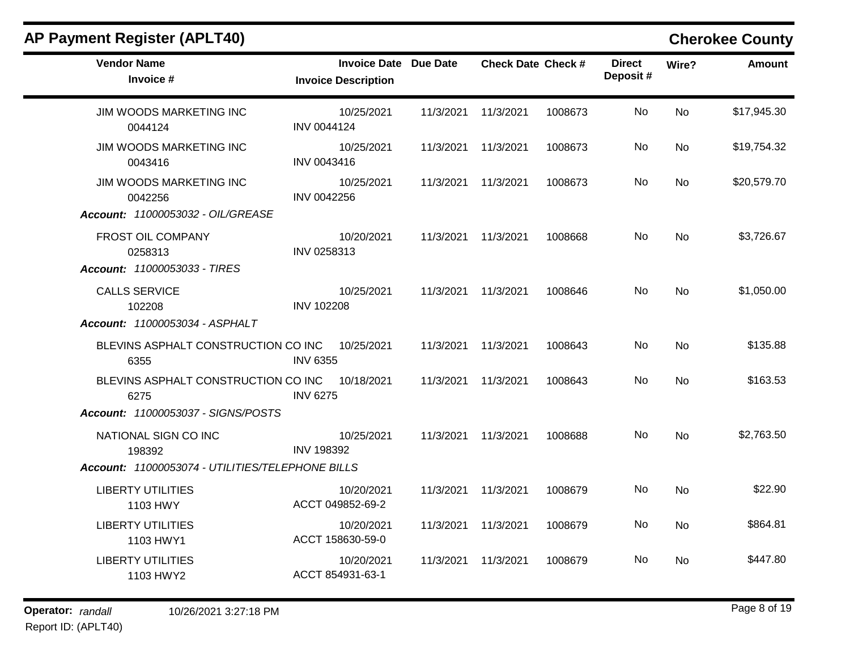| <b>Vendor Name</b>                                     | <b>Invoice Date Due Date</b>    |                     | <b>Check Date Check #</b> |         | <b>Direct</b> | Wire?          | <b>Amount</b> |
|--------------------------------------------------------|---------------------------------|---------------------|---------------------------|---------|---------------|----------------|---------------|
| Invoice #                                              | <b>Invoice Description</b>      |                     |                           |         | Deposit#      |                |               |
| JIM WOODS MARKETING INC<br>0044124                     | 10/25/2021<br>INV 0044124       | 11/3/2021           | 11/3/2021                 | 1008673 | No            | <b>No</b>      | \$17,945.30   |
| JIM WOODS MARKETING INC<br>0043416                     | 10/25/2021<br>INV 0043416       |                     | 11/3/2021 11/3/2021       | 1008673 | No.           | No             | \$19,754.32   |
| JIM WOODS MARKETING INC<br>0042256                     | 10/25/2021<br>INV 0042256       |                     | 11/3/2021 11/3/2021       | 1008673 | No            | <b>No</b>      | \$20,579.70   |
| Account: 11000053032 - OIL/GREASE                      |                                 |                     |                           |         |               |                |               |
| FROST OIL COMPANY<br>0258313                           | 10/20/2021<br>INV 0258313       |                     | 11/3/2021 11/3/2021       | 1008668 | No.           | No             | \$3,726.67    |
| Account: 11000053033 - TIRES                           |                                 |                     |                           |         |               |                |               |
| <b>CALLS SERVICE</b><br>102208                         | 10/25/2021<br><b>INV 102208</b> |                     | 11/3/2021 11/3/2021       | 1008646 | No.           | <b>No</b>      | \$1,050.00    |
| Account: 11000053034 - ASPHALT                         |                                 |                     |                           |         |               |                |               |
| BLEVINS ASPHALT CONSTRUCTION CO INC 10/25/2021<br>6355 | <b>INV 6355</b>                 |                     | 11/3/2021 11/3/2021       | 1008643 | No            | <b>No</b>      | \$135.88      |
| BLEVINS ASPHALT CONSTRUCTION CO INC<br>6275            | 10/18/2021<br><b>INV 6275</b>   | 11/3/2021 11/3/2021 |                           | 1008643 | No            | <b>No</b>      | \$163.53      |
| Account: 11000053037 - SIGNS/POSTS                     |                                 |                     |                           |         |               |                |               |
| NATIONAL SIGN CO INC<br>198392                         | 10/25/2021<br><b>INV 198392</b> |                     | 11/3/2021 11/3/2021       | 1008688 | No            | N <sub>o</sub> | \$2,763.50    |
| Account: 11000053074 - UTILITIES/TELEPHONE BILLS       |                                 |                     |                           |         |               |                |               |
| <b>LIBERTY UTILITIES</b><br>1103 HWY                   | 10/20/2021<br>ACCT 049852-69-2  |                     | 11/3/2021 11/3/2021       | 1008679 | No            | <b>No</b>      | \$22.90       |
| <b>LIBERTY UTILITIES</b><br>1103 HWY1                  | 10/20/2021<br>ACCT 158630-59-0  |                     | 11/3/2021 11/3/2021       | 1008679 | No.           | No             | \$864.81      |
| <b>LIBERTY UTILITIES</b><br>1103 HWY2                  | 10/20/2021<br>ACCT 854931-63-1  |                     | 11/3/2021 11/3/2021       | 1008679 | No.           | <b>No</b>      | \$447.80      |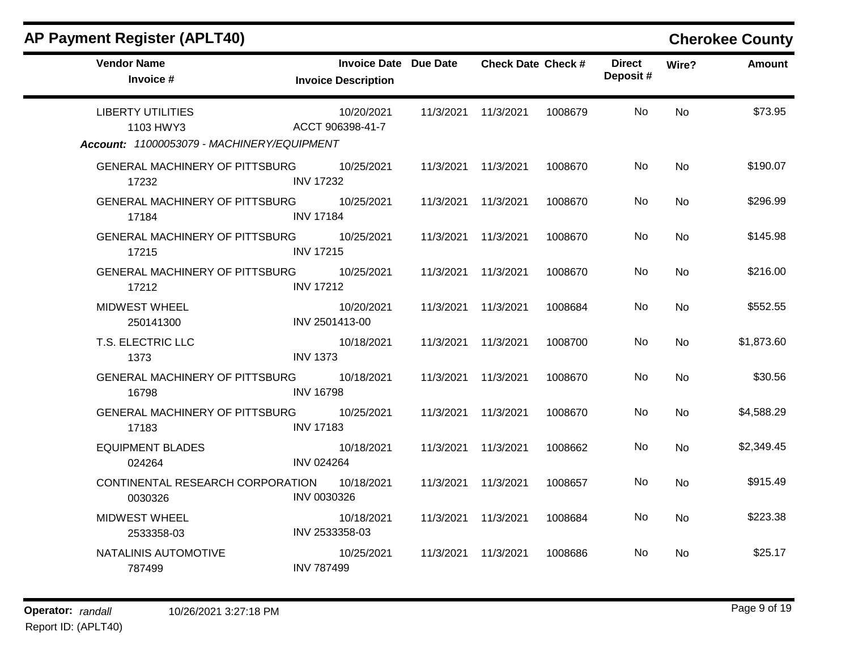| <b>AP Payment Register (APLT40)</b>                                                 |                                                            |           |                           |         |                           |           | <b>Cherokee County</b> |
|-------------------------------------------------------------------------------------|------------------------------------------------------------|-----------|---------------------------|---------|---------------------------|-----------|------------------------|
| <b>Vendor Name</b><br>Invoice #                                                     | <b>Invoice Date Due Date</b><br><b>Invoice Description</b> |           | <b>Check Date Check #</b> |         | <b>Direct</b><br>Deposit# | Wire?     | <b>Amount</b>          |
| <b>LIBERTY UTILITIES</b><br>1103 HWY3<br>Account: 11000053079 - MACHINERY/EQUIPMENT | 10/20/2021<br>ACCT 906398-41-7                             |           | 11/3/2021 11/3/2021       | 1008679 | No                        | <b>No</b> | \$73.95                |
| <b>GENERAL MACHINERY OF PITTSBURG</b><br>17232                                      | 10/25/2021<br><b>INV 17232</b>                             | 11/3/2021 | 11/3/2021                 | 1008670 | No                        | <b>No</b> | \$190.07               |
| <b>GENERAL MACHINERY OF PITTSBURG</b><br>17184                                      | 10/25/2021<br><b>INV 17184</b>                             |           | 11/3/2021 11/3/2021       | 1008670 | No.                       | No.       | \$296.99               |
| GENERAL MACHINERY OF PITTSBURG<br>17215                                             | 10/25/2021<br><b>INV 17215</b>                             | 11/3/2021 | 11/3/2021                 | 1008670 | No                        | <b>No</b> | \$145.98               |
| <b>GENERAL MACHINERY OF PITTSBURG</b><br>17212                                      | 10/25/2021<br><b>INV 17212</b>                             | 11/3/2021 | 11/3/2021                 | 1008670 | No.                       | No        | \$216.00               |
| <b>MIDWEST WHEEL</b><br>250141300                                                   | 10/20/2021<br>INV 2501413-00                               | 11/3/2021 | 11/3/2021                 | 1008684 | No                        | No        | \$552.55               |
| T.S. ELECTRIC LLC<br>1373                                                           | 10/18/2021<br><b>INV 1373</b>                              | 11/3/2021 | 11/3/2021                 | 1008700 | No                        | <b>No</b> | \$1,873.60             |
| <b>GENERAL MACHINERY OF PITTSBURG</b><br>16798                                      | 10/18/2021<br><b>INV 16798</b>                             | 11/3/2021 | 11/3/2021                 | 1008670 | No.                       | No        | \$30.56                |
| GENERAL MACHINERY OF PITTSBURG<br>17183                                             | 10/25/2021<br><b>INV 17183</b>                             | 11/3/2021 | 11/3/2021                 | 1008670 | No                        | No        | \$4,588.29             |
| <b>EQUIPMENT BLADES</b><br>024264                                                   | 10/18/2021<br><b>INV 024264</b>                            | 11/3/2021 | 11/3/2021                 | 1008662 | No                        | <b>No</b> | \$2,349.45             |
| CONTINENTAL RESEARCH CORPORATION<br>0030326                                         | 10/18/2021<br>INV 0030326                                  | 11/3/2021 | 11/3/2021                 | 1008657 | No                        | No        | \$915.49               |
| <b>MIDWEST WHEEL</b><br>2533358-03                                                  | 10/18/2021<br>INV 2533358-03                               | 11/3/2021 | 11/3/2021                 | 1008684 | No                        | No        | \$223.38               |
| NATALINIS AUTOMOTIVE<br>787499                                                      | 10/25/2021<br><b>INV 787499</b>                            | 11/3/2021 | 11/3/2021                 | 1008686 | No.                       | No.       | \$25.17                |

### $\mathbf{r}$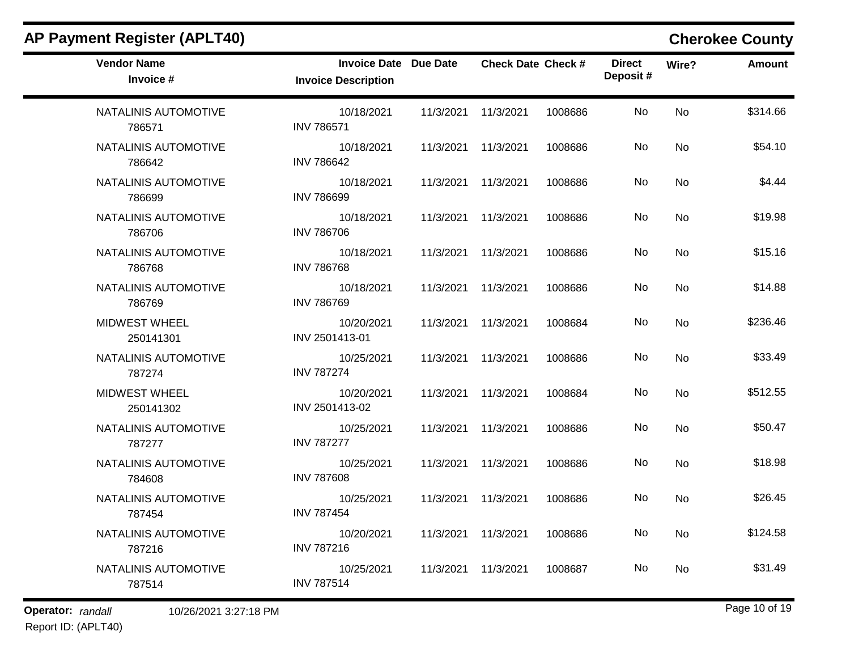| <b>AP Payment Register (APLT40)</b> |                                                            |           |                           |         |                           |           | <b>Cherokee County</b> |
|-------------------------------------|------------------------------------------------------------|-----------|---------------------------|---------|---------------------------|-----------|------------------------|
| <b>Vendor Name</b><br>Invoice #     | <b>Invoice Date Due Date</b><br><b>Invoice Description</b> |           | <b>Check Date Check #</b> |         | <b>Direct</b><br>Deposit# | Wire?     | <b>Amount</b>          |
| NATALINIS AUTOMOTIVE<br>786571      | 10/18/2021<br><b>INV 786571</b>                            | 11/3/2021 | 11/3/2021                 | 1008686 | No                        | <b>No</b> | \$314.66               |
| NATALINIS AUTOMOTIVE<br>786642      | 10/18/2021<br><b>INV 786642</b>                            | 11/3/2021 | 11/3/2021                 | 1008686 | No                        | No        | \$54.10                |
| NATALINIS AUTOMOTIVE<br>786699      | 10/18/2021<br><b>INV 786699</b>                            | 11/3/2021 | 11/3/2021                 | 1008686 | No                        | No        | \$4.44                 |
| NATALINIS AUTOMOTIVE<br>786706      | 10/18/2021<br><b>INV 786706</b>                            | 11/3/2021 | 11/3/2021                 | 1008686 | No                        | No        | \$19.98                |
| NATALINIS AUTOMOTIVE<br>786768      | 10/18/2021<br><b>INV 786768</b>                            | 11/3/2021 | 11/3/2021                 | 1008686 | No                        | No        | \$15.16                |
| NATALINIS AUTOMOTIVE<br>786769      | 10/18/2021<br><b>INV 786769</b>                            | 11/3/2021 | 11/3/2021                 | 1008686 | No                        | No        | \$14.88                |
| <b>MIDWEST WHEEL</b><br>250141301   | 10/20/2021<br>INV 2501413-01                               | 11/3/2021 | 11/3/2021                 | 1008684 | No                        | No        | \$236.46               |
| NATALINIS AUTOMOTIVE<br>787274      | 10/25/2021<br><b>INV 787274</b>                            | 11/3/2021 | 11/3/2021                 | 1008686 | No                        | No        | \$33.49                |
| <b>MIDWEST WHEEL</b><br>250141302   | 10/20/2021<br>INV 2501413-02                               | 11/3/2021 | 11/3/2021                 | 1008684 | No                        | No        | \$512.55               |
| NATALINIS AUTOMOTIVE<br>787277      | 10/25/2021<br><b>INV 787277</b>                            | 11/3/2021 | 11/3/2021                 | 1008686 | No                        | No        | \$50.47                |
| NATALINIS AUTOMOTIVE<br>784608      | 10/25/2021<br><b>INV 787608</b>                            | 11/3/2021 | 11/3/2021                 | 1008686 | No                        | No        | \$18.98                |
| NATALINIS AUTOMOTIVE<br>787454      | 10/25/2021<br><b>INV 787454</b>                            | 11/3/2021 | 11/3/2021                 | 1008686 | No                        | No        | \$26.45                |
| NATALINIS AUTOMOTIVE<br>787216      | 10/20/2021<br><b>INV 787216</b>                            |           | 11/3/2021 11/3/2021       | 1008686 | No                        | No        | \$124.58               |
| NATALINIS AUTOMOTIVE<br>787514      | 10/25/2021<br><b>INV 787514</b>                            | 11/3/2021 | 11/3/2021                 | 1008687 | No                        | No        | \$31.49                |

Report ID: (APLT40)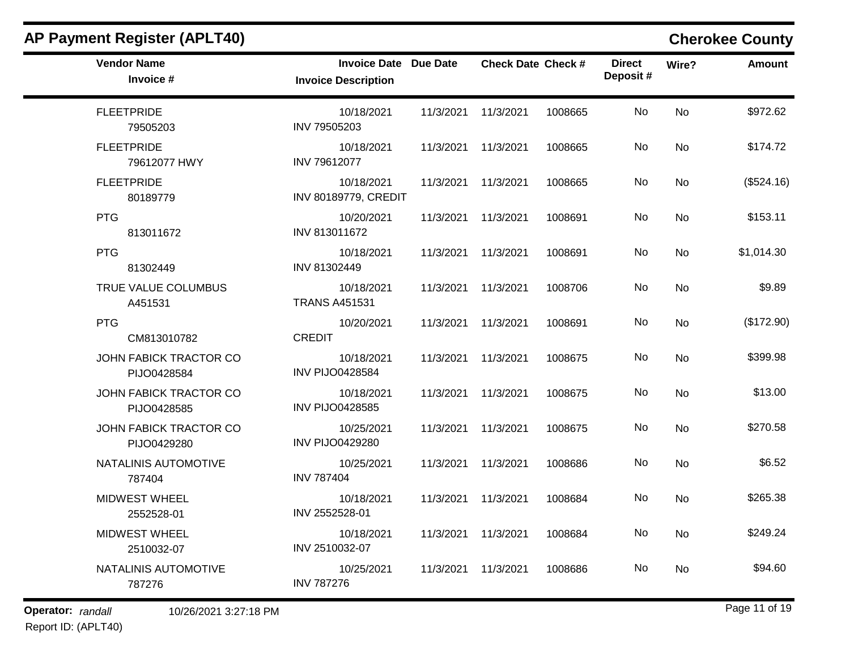| <b>Vendor Name</b><br>Invoice #              | <b>Invoice Date Due Date</b><br><b>Invoice Description</b> |           | <b>Check Date Check #</b> |         | <b>Direct</b><br>Deposit# | Wire?     | <b>Amount</b> |
|----------------------------------------------|------------------------------------------------------------|-----------|---------------------------|---------|---------------------------|-----------|---------------|
| <b>FLEETPRIDE</b><br>79505203                | 10/18/2021<br>INV 79505203                                 |           | 11/3/2021 11/3/2021       | 1008665 | No                        | No        | \$972.62      |
| <b>FLEETPRIDE</b><br>79612077 HWY            | 10/18/2021<br>INV 79612077                                 |           | 11/3/2021 11/3/2021       | 1008665 | No                        | No        | \$174.72      |
| <b>FLEETPRIDE</b><br>80189779                | 10/18/2021<br><b>INV 80189779, CREDIT</b>                  |           | 11/3/2021 11/3/2021       | 1008665 | No                        | <b>No</b> | (\$524.16)    |
| <b>PTG</b><br>813011672                      | 10/20/2021<br>INV 813011672                                |           | 11/3/2021 11/3/2021       | 1008691 | No                        | No        | \$153.11      |
| <b>PTG</b><br>81302449                       | 10/18/2021<br>INV 81302449                                 |           | 11/3/2021 11/3/2021       | 1008691 | No                        | No        | \$1,014.30    |
| TRUE VALUE COLUMBUS<br>A451531               | 10/18/2021<br><b>TRANS A451531</b>                         | 11/3/2021 | 11/3/2021                 | 1008706 | No                        | <b>No</b> | \$9.89        |
| <b>PTG</b><br>CM813010782                    | 10/20/2021<br><b>CREDIT</b>                                |           | 11/3/2021 11/3/2021       | 1008691 | No                        | <b>No</b> | (\$172.90)    |
| JOHN FABICK TRACTOR CO<br>PIJO0428584        | 10/18/2021<br><b>INV PIJO0428584</b>                       |           | 11/3/2021 11/3/2021       | 1008675 | No                        | <b>No</b> | \$399.98      |
| JOHN FABICK TRACTOR CO<br>PIJO0428585        | 10/18/2021<br><b>INV PIJO0428585</b>                       |           | 11/3/2021 11/3/2021       | 1008675 | No                        | <b>No</b> | \$13.00       |
| <b>JOHN FABICK TRACTOR CO</b><br>PIJO0429280 | 10/25/2021<br><b>INV PIJO0429280</b>                       |           | 11/3/2021 11/3/2021       | 1008675 | No                        | No        | \$270.58      |
| NATALINIS AUTOMOTIVE<br>787404               | 10/25/2021<br><b>INV 787404</b>                            |           | 11/3/2021 11/3/2021       | 1008686 | No                        | <b>No</b> | \$6.52        |
| MIDWEST WHEEL<br>2552528-01                  | 10/18/2021<br>INV 2552528-01                               |           | 11/3/2021 11/3/2021       | 1008684 | No.                       | <b>No</b> | \$265.38      |
| <b>MIDWEST WHEEL</b><br>2510032-07           | 10/18/2021<br>INV 2510032-07                               |           | 11/3/2021 11/3/2021       | 1008684 | No                        | No        | \$249.24      |
| NATALINIS AUTOMOTIVE<br>787276               | 10/25/2021<br><b>INV 787276</b>                            |           | 11/3/2021 11/3/2021       | 1008686 | No.                       | No        | \$94.60       |
|                                              |                                                            |           |                           |         |                           |           |               |

Report ID: (APLT40)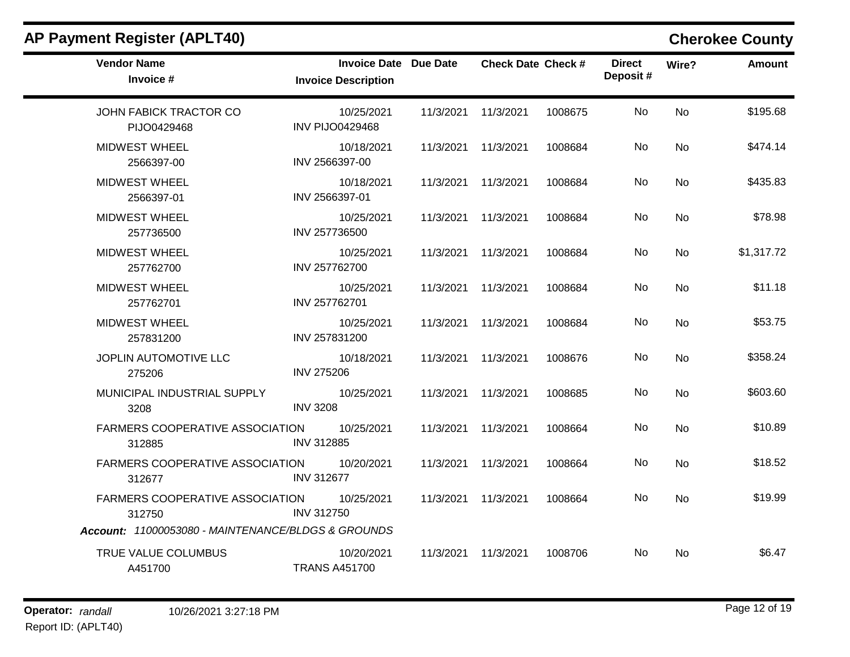| <b>Vendor Name</b><br>Invoice #                                                                 | <b>Invoice Date Due Date</b><br><b>Invoice Description</b> |                     | <b>Check Date Check #</b> |         | <b>Direct</b><br>Deposit# | Wire?     | <b>Amount</b> |
|-------------------------------------------------------------------------------------------------|------------------------------------------------------------|---------------------|---------------------------|---------|---------------------------|-----------|---------------|
| JOHN FABICK TRACTOR CO<br>PIJO0429468                                                           | 10/25/2021<br><b>INV PIJO0429468</b>                       | 11/3/2021           | 11/3/2021                 | 1008675 | No                        | <b>No</b> | \$195.68      |
| <b>MIDWEST WHEEL</b><br>2566397-00                                                              | 10/18/2021<br>INV 2566397-00                               | 11/3/2021           | 11/3/2021                 | 1008684 | No                        | <b>No</b> | \$474.14      |
| <b>MIDWEST WHEEL</b><br>2566397-01                                                              | 10/18/2021<br>INV 2566397-01                               | 11/3/2021           | 11/3/2021                 | 1008684 | No                        | <b>No</b> | \$435.83      |
| <b>MIDWEST WHEEL</b><br>257736500                                                               | 10/25/2021<br>INV 257736500                                | 11/3/2021           | 11/3/2021                 | 1008684 | No                        | <b>No</b> | \$78.98       |
| <b>MIDWEST WHEEL</b><br>257762700                                                               | 10/25/2021<br>INV 257762700                                | 11/3/2021           | 11/3/2021                 | 1008684 | No                        | <b>No</b> | \$1,317.72    |
| <b>MIDWEST WHEEL</b><br>257762701                                                               | 10/25/2021<br>INV 257762701                                | 11/3/2021 11/3/2021 |                           | 1008684 | No.                       | No        | \$11.18       |
| <b>MIDWEST WHEEL</b><br>257831200                                                               | 10/25/2021<br>INV 257831200                                | 11/3/2021 11/3/2021 |                           | 1008684 | No                        | <b>No</b> | \$53.75       |
| JOPLIN AUTOMOTIVE LLC<br>275206                                                                 | 10/18/2021<br><b>INV 275206</b>                            | 11/3/2021           | 11/3/2021                 | 1008676 | No                        | <b>No</b> | \$358.24      |
| MUNICIPAL INDUSTRIAL SUPPLY<br>3208                                                             | 10/25/2021<br><b>INV 3208</b>                              | 11/3/2021           | 11/3/2021                 | 1008685 | No                        | <b>No</b> | \$603.60      |
| <b>FARMERS COOPERATIVE ASSOCIATION</b><br>312885                                                | 10/25/2021<br><b>INV 312885</b>                            | 11/3/2021           | 11/3/2021                 | 1008664 | No.                       | <b>No</b> | \$10.89       |
| <b>FARMERS COOPERATIVE ASSOCIATION</b><br>312677                                                | 10/20/2021<br><b>INV 312677</b>                            | 11/3/2021           | 11/3/2021                 | 1008664 | No                        | <b>No</b> | \$18.52       |
| FARMERS COOPERATIVE ASSOCIATION<br>312750<br>Account: 11000053080 - MAINTENANCE/BLDGS & GROUNDS | 10/25/2021<br><b>INV 312750</b>                            | 11/3/2021           | 11/3/2021                 | 1008664 | No                        | <b>No</b> | \$19.99       |
| TRUE VALUE COLUMBUS<br>A451700                                                                  | 10/20/2021<br><b>TRANS A451700</b>                         | 11/3/2021           | 11/3/2021                 | 1008706 | No.                       | <b>No</b> | \$6.47        |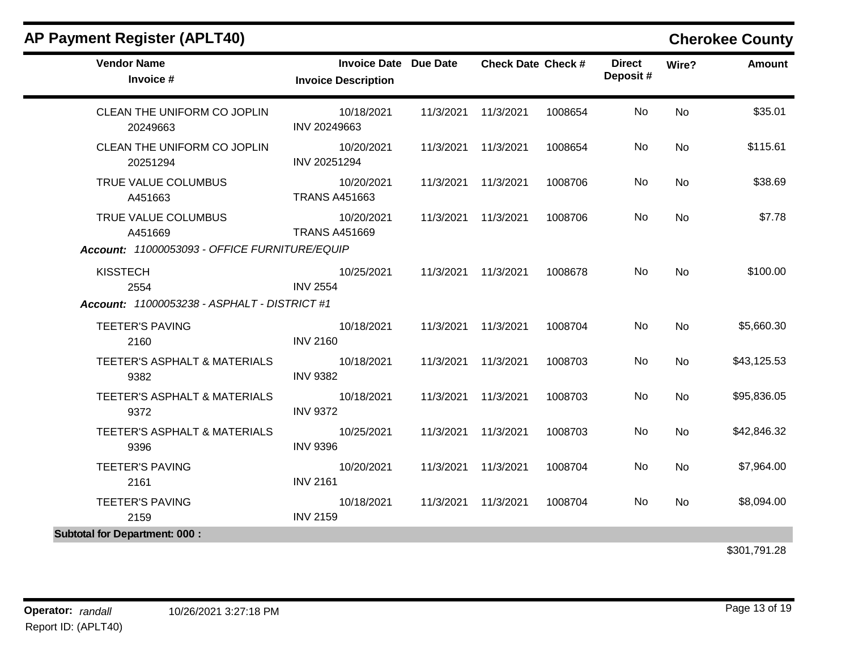| <b>Vendor Name</b><br>Invoice #                     | <b>Invoice Date Due Date</b><br><b>Invoice Description</b> | <b>Check Date Check #</b> |         | <b>Direct</b><br>Deposit# | Wire?     | <b>Amount</b> |
|-----------------------------------------------------|------------------------------------------------------------|---------------------------|---------|---------------------------|-----------|---------------|
| CLEAN THE UNIFORM CO JOPLIN<br>20249663             | 10/18/2021<br>INV 20249663                                 | 11/3/2021 11/3/2021       | 1008654 | <b>No</b>                 | <b>No</b> | \$35.01       |
| CLEAN THE UNIFORM CO JOPLIN<br>20251294             | 10/20/2021<br>INV 20251294                                 | 11/3/2021 11/3/2021       | 1008654 | No                        | <b>No</b> | \$115.61      |
| TRUE VALUE COLUMBUS<br>A451663                      | 10/20/2021<br><b>TRANS A451663</b>                         | 11/3/2021 11/3/2021       | 1008706 | No                        | No        | \$38.69       |
| TRUE VALUE COLUMBUS<br>A451669                      | 10/20/2021<br><b>TRANS A451669</b>                         | 11/3/2021 11/3/2021       | 1008706 | No                        | <b>No</b> | \$7.78        |
| Account: 11000053093 - OFFICE FURNITURE/EQUIP       |                                                            |                           |         |                           |           |               |
| <b>KISSTECH</b><br>2554                             | 10/25/2021<br><b>INV 2554</b>                              | 11/3/2021 11/3/2021       | 1008678 | No                        | <b>No</b> | \$100.00      |
| <b>Account: 11000053238 - ASPHALT - DISTRICT #1</b> |                                                            |                           |         |                           |           |               |
| <b>TEETER'S PAVING</b><br>2160                      | 10/18/2021<br><b>INV 2160</b>                              | 11/3/2021 11/3/2021       | 1008704 | No                        | <b>No</b> | \$5,660.30    |
| TEETER'S ASPHALT & MATERIALS<br>9382                | 10/18/2021<br><b>INV 9382</b>                              | 11/3/2021 11/3/2021       | 1008703 | No                        | <b>No</b> | \$43,125.53   |
| TEETER'S ASPHALT & MATERIALS<br>9372                | 10/18/2021<br><b>INV 9372</b>                              | 11/3/2021 11/3/2021       | 1008703 | No                        | <b>No</b> | \$95,836.05   |
| TEETER'S ASPHALT & MATERIALS<br>9396                | 10/25/2021<br><b>INV 9396</b>                              | 11/3/2021 11/3/2021       | 1008703 | No                        | <b>No</b> | \$42,846.32   |
| <b>TEETER'S PAVING</b><br>2161                      | 10/20/2021<br><b>INV 2161</b>                              | 11/3/2021 11/3/2021       | 1008704 | No                        | <b>No</b> | \$7,964.00    |
| <b>TEETER'S PAVING</b><br>2159                      | 10/18/2021<br><b>INV 2159</b>                              | 11/3/2021 11/3/2021       | 1008704 | No                        | <b>No</b> | \$8,094.00    |
| <b>Subtotal for Department: 000:</b>                |                                                            |                           |         |                           |           |               |
|                                                     |                                                            |                           |         |                           |           | \$301,791.28  |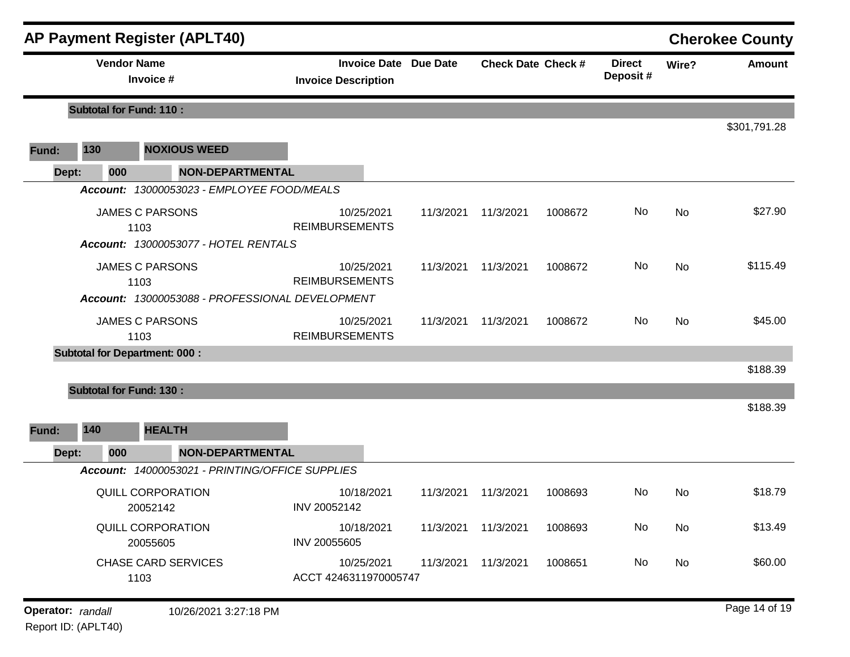|                   |                                | <b>AP Payment Register (APLT40)</b>                                               |                                                            |           |                           |         |                           |           | <b>Cherokee County</b> |
|-------------------|--------------------------------|-----------------------------------------------------------------------------------|------------------------------------------------------------|-----------|---------------------------|---------|---------------------------|-----------|------------------------|
|                   |                                | <b>Vendor Name</b><br>Invoice #                                                   | <b>Invoice Date Due Date</b><br><b>Invoice Description</b> |           | <b>Check Date Check #</b> |         | <b>Direct</b><br>Deposit# | Wire?     | <b>Amount</b>          |
|                   | <b>Subtotal for Fund: 110:</b> |                                                                                   |                                                            |           |                           |         |                           |           |                        |
| Fund:             | 130                            | <b>NOXIOUS WEED</b>                                                               |                                                            |           |                           |         |                           |           | \$301,791.28           |
| Dept:             | 000                            | <b>NON-DEPARTMENTAL</b>                                                           |                                                            |           |                           |         |                           |           |                        |
|                   |                                | Account: 13000053023 - EMPLOYEE FOOD/MEALS                                        |                                                            |           |                           |         |                           |           |                        |
|                   |                                | <b>JAMES C PARSONS</b><br>1103<br><b>Account: 13000053077 - HOTEL RENTALS</b>     | 10/25/2021<br><b>REIMBURSEMENTS</b>                        | 11/3/2021 | 11/3/2021                 | 1008672 | No                        | No        | \$27.90                |
|                   |                                | <b>JAMES C PARSONS</b><br>1103<br>Account: 13000053088 - PROFESSIONAL DEVELOPMENT | 10/25/2021<br><b>REIMBURSEMENTS</b>                        | 11/3/2021 | 11/3/2021                 | 1008672 | No                        | No        | \$115.49               |
|                   |                                | <b>JAMES C PARSONS</b><br>1103                                                    | 10/25/2021<br><b>REIMBURSEMENTS</b>                        | 11/3/2021 | 11/3/2021                 | 1008672 | No                        | No        | \$45.00                |
|                   |                                | <b>Subtotal for Department: 000:</b>                                              |                                                            |           |                           |         |                           |           |                        |
|                   |                                | <b>Subtotal for Fund: 130:</b>                                                    |                                                            |           |                           |         |                           |           | \$188.39<br>\$188.39   |
| Fund:             | 140                            | <b>HEALTH</b>                                                                     |                                                            |           |                           |         |                           |           |                        |
| Dept:             | 000                            | <b>NON-DEPARTMENTAL</b>                                                           |                                                            |           |                           |         |                           |           |                        |
|                   |                                | Account: 14000053021 - PRINTING/OFFICE SUPPLIES                                   |                                                            |           |                           |         |                           |           |                        |
|                   |                                | <b>QUILL CORPORATION</b><br>20052142                                              | 10/18/2021<br>INV 20052142                                 | 11/3/2021 | 11/3/2021                 | 1008693 | No.                       | No        | \$18.79                |
|                   |                                | <b>QUILL CORPORATION</b><br>20055605                                              | 10/18/2021<br>INV 20055605                                 | 11/3/2021 | 11/3/2021                 | 1008693 | No                        | <b>No</b> | \$13.49                |
|                   |                                | <b>CHASE CARD SERVICES</b><br>1103                                                | 10/25/2021<br>ACCT 4246311970005747                        | 11/3/2021 | 11/3/2021                 | 1008651 | No                        | No        | \$60.00                |
| Operator: randall |                                | 10/26/2021 3:27:18 PM                                                             |                                                            |           |                           |         |                           |           | Page 14 of 19          |

Report ID: (APLT40)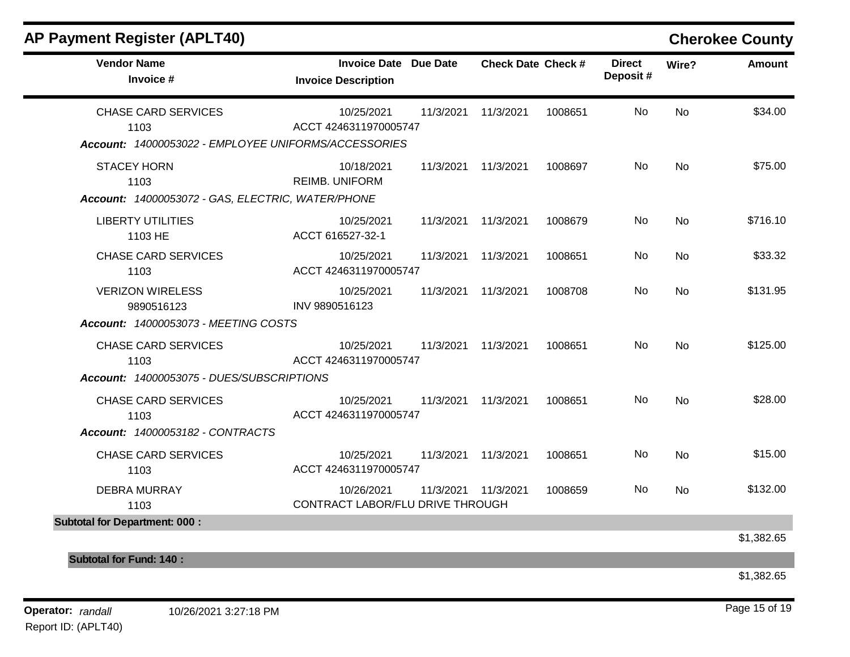| <b>AP Payment Register (APLT40)</b>                                                        |                                                            |           |                           |         |                           |       | <b>Cherokee County</b> |
|--------------------------------------------------------------------------------------------|------------------------------------------------------------|-----------|---------------------------|---------|---------------------------|-------|------------------------|
| <b>Vendor Name</b><br>Invoice #                                                            | <b>Invoice Date Due Date</b><br><b>Invoice Description</b> |           | <b>Check Date Check #</b> |         | <b>Direct</b><br>Deposit# | Wire? | <b>Amount</b>          |
| <b>CHASE CARD SERVICES</b><br>1103<br>Account: 14000053022 - EMPLOYEE UNIFORMS/ACCESSORIES | 10/25/2021<br>ACCT 4246311970005747                        | 11/3/2021 | 11/3/2021                 | 1008651 | No                        | No    | \$34.00                |
| <b>STACEY HORN</b><br>1103<br>Account: 14000053072 - GAS, ELECTRIC, WATER/PHONE            | 10/18/2021<br><b>REIMB. UNIFORM</b>                        | 11/3/2021 | 11/3/2021                 | 1008697 | No                        | No    | \$75.00                |
| <b>LIBERTY UTILITIES</b><br>1103 HE                                                        | 10/25/2021<br>ACCT 616527-32-1                             | 11/3/2021 | 11/3/2021                 | 1008679 | No                        | No    | \$716.10               |
| <b>CHASE CARD SERVICES</b><br>1103                                                         | 10/25/2021<br>ACCT 4246311970005747                        | 11/3/2021 | 11/3/2021                 | 1008651 | No                        | No    | \$33.32                |
| <b>VERIZON WIRELESS</b><br>9890516123<br><b>Account: 14000053073 - MEETING COSTS</b>       | 10/25/2021<br>INV 9890516123                               | 11/3/2021 | 11/3/2021                 | 1008708 | No                        | No    | \$131.95               |
| <b>CHASE CARD SERVICES</b><br>1103<br>Account: 14000053075 - DUES/SUBSCRIPTIONS            | 10/25/2021<br>ACCT 4246311970005747                        | 11/3/2021 | 11/3/2021                 | 1008651 | No                        | No    | \$125.00               |
| <b>CHASE CARD SERVICES</b><br>1103<br>Account: 14000053182 - CONTRACTS                     | 10/25/2021<br>ACCT 4246311970005747                        | 11/3/2021 | 11/3/2021                 | 1008651 | No                        | No    | \$28.00                |
| <b>CHASE CARD SERVICES</b><br>1103                                                         | 10/25/2021<br>ACCT 4246311970005747                        | 11/3/2021 | 11/3/2021                 | 1008651 | No                        | No    | \$15.00                |
| <b>DEBRA MURRAY</b><br>1103                                                                | 10/26/2021<br>CONTRACT LABOR/FLU DRIVE THROUGH             | 11/3/2021 | 11/3/2021                 | 1008659 | No                        | No    | \$132.00               |
| <b>Subtotal for Department: 000:</b>                                                       |                                                            |           |                           |         |                           |       | \$1,382.65             |
| <b>Subtotal for Fund: 140:</b>                                                             |                                                            |           |                           |         |                           |       |                        |
|                                                                                            |                                                            |           |                           |         |                           |       | \$1,382.65             |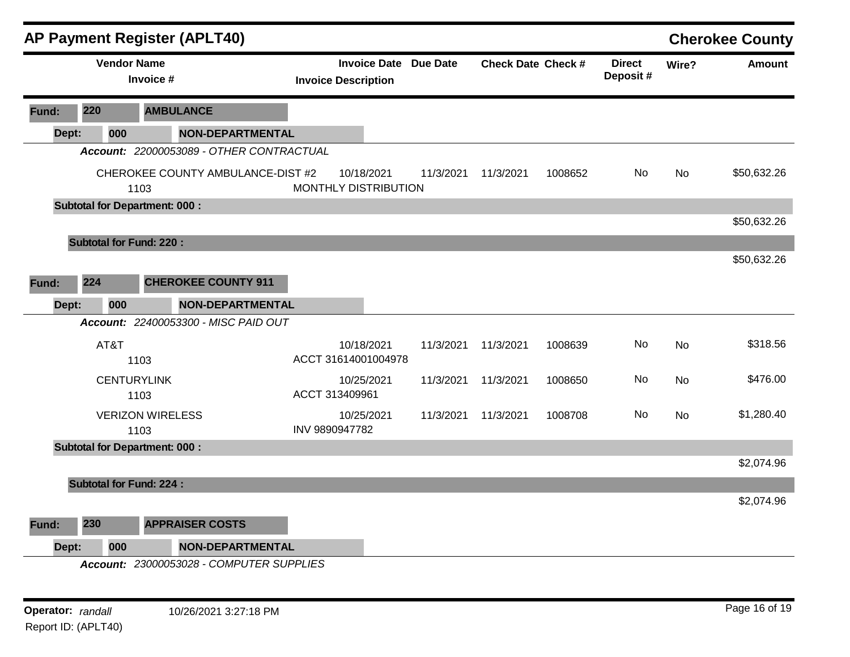|       |     |                    |                                      | <b>AP Payment Register (APLT40)</b>      |                |                                                   |           |                           |         |                            |           | <b>Cherokee County</b> |
|-------|-----|--------------------|--------------------------------------|------------------------------------------|----------------|---------------------------------------------------|-----------|---------------------------|---------|----------------------------|-----------|------------------------|
|       |     | <b>Vendor Name</b> | Invoice #                            |                                          |                | <b>Invoice Date</b><br><b>Invoice Description</b> | Due Date  | <b>Check Date Check #</b> |         | <b>Direct</b><br>Deposit # | Wire?     | <b>Amount</b>          |
| Fund: | 220 |                    |                                      | <b>AMBULANCE</b>                         |                |                                                   |           |                           |         |                            |           |                        |
| Dept: |     | 000                |                                      | <b>NON-DEPARTMENTAL</b>                  |                |                                                   |           |                           |         |                            |           |                        |
|       |     |                    |                                      | Account: 22000053089 - OTHER CONTRACTUAL |                |                                                   |           |                           |         |                            |           |                        |
|       |     |                    | 1103                                 | CHEROKEE COUNTY AMBULANCE-DIST #2        |                | 10/18/2021<br>MONTHLY DISTRIBUTION                | 11/3/2021 | 11/3/2021                 | 1008652 | No                         | <b>No</b> | \$50,632.26            |
|       |     |                    | <b>Subtotal for Department: 000:</b> |                                          |                |                                                   |           |                           |         |                            |           |                        |
|       |     |                    |                                      |                                          |                |                                                   |           |                           |         |                            |           | \$50,632.26            |
|       |     |                    | <b>Subtotal for Fund: 220:</b>       |                                          |                |                                                   |           |                           |         |                            |           |                        |
|       |     |                    |                                      |                                          |                |                                                   |           |                           |         |                            |           | \$50,632.26            |
| Fund: | 224 |                    |                                      | <b>CHEROKEE COUNTY 911</b>               |                |                                                   |           |                           |         |                            |           |                        |
| Dept: |     | 000                |                                      | <b>NON-DEPARTMENTAL</b>                  |                |                                                   |           |                           |         |                            |           |                        |
|       |     |                    |                                      | Account: 22400053300 - MISC PAID OUT     |                |                                                   |           |                           |         |                            |           |                        |
|       |     | AT&T               | 1103                                 |                                          |                | 10/18/2021<br>ACCT 31614001004978                 | 11/3/2021 | 11/3/2021                 | 1008639 | No                         | <b>No</b> | \$318.56               |
|       |     |                    | <b>CENTURYLINK</b><br>1103           |                                          |                | 10/25/2021<br>ACCT 313409961                      | 11/3/2021 | 11/3/2021                 | 1008650 | No                         | <b>No</b> | \$476.00               |
|       |     |                    | <b>VERIZON WIRELESS</b><br>1103      |                                          | INV 9890947782 | 10/25/2021                                        | 11/3/2021 | 11/3/2021                 | 1008708 | No                         | <b>No</b> | \$1,280.40             |
|       |     |                    | <b>Subtotal for Department: 000:</b> |                                          |                |                                                   |           |                           |         |                            |           |                        |
|       |     |                    |                                      |                                          |                |                                                   |           |                           |         |                            |           | \$2,074.96             |
|       |     |                    | <b>Subtotal for Fund: 224:</b>       |                                          |                |                                                   |           |                           |         |                            |           |                        |
|       |     |                    |                                      |                                          |                |                                                   |           |                           |         |                            |           | \$2,074.96             |
| Fund: | 230 |                    |                                      | <b>APPRAISER COSTS</b>                   |                |                                                   |           |                           |         |                            |           |                        |
| Dept: |     | 000                |                                      | <b>NON-DEPARTMENTAL</b>                  |                |                                                   |           |                           |         |                            |           |                        |
|       |     |                    |                                      | Account: 23000053028 - COMPUTER SUPPLIES |                |                                                   |           |                           |         |                            |           |                        |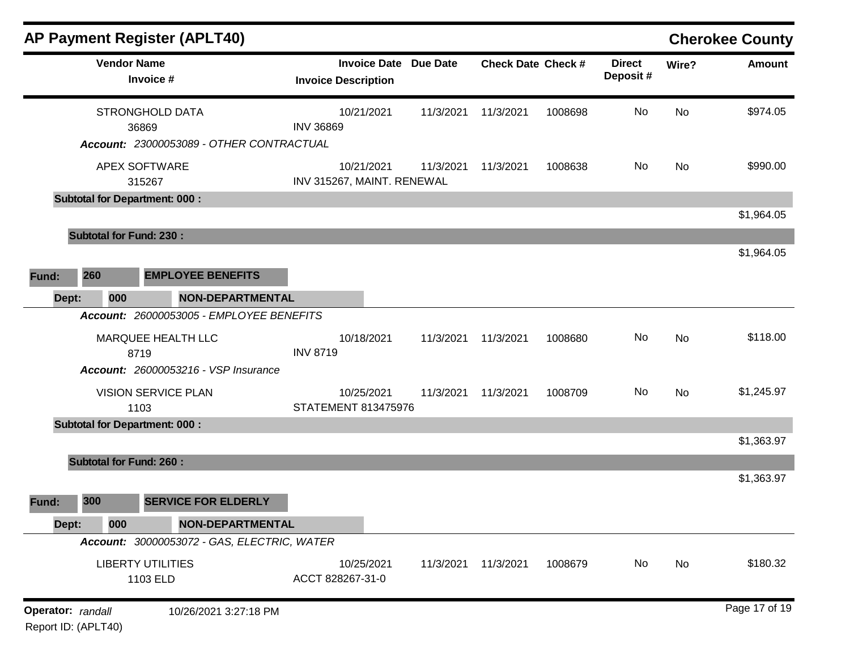|                                          |                                      | AP Payment Register (APLT40)                |                                                            |           |                           |         |                           |           | <b>Cherokee County</b> |
|------------------------------------------|--------------------------------------|---------------------------------------------|------------------------------------------------------------|-----------|---------------------------|---------|---------------------------|-----------|------------------------|
|                                          | <b>Vendor Name</b>                   | Invoice #                                   | <b>Invoice Date Due Date</b><br><b>Invoice Description</b> |           | <b>Check Date Check #</b> |         | <b>Direct</b><br>Deposit# | Wire?     | <b>Amount</b>          |
|                                          | 36869                                | <b>STRONGHOLD DATA</b>                      | 10/21/2021<br><b>INV 36869</b>                             | 11/3/2021 | 11/3/2021                 | 1008698 | No                        | No        | \$974.05               |
|                                          | APEX SOFTWARE                        | Account: 23000053089 - OTHER CONTRACTUAL    | 10/21/2021<br>INV 315267, MAINT. RENEWAL                   | 11/3/2021 | 11/3/2021                 | 1008638 | No                        | No        | \$990.00               |
|                                          | <b>Subtotal for Department: 000:</b> | 315267                                      |                                                            |           |                           |         |                           |           |                        |
|                                          | <b>Subtotal for Fund: 230:</b>       |                                             |                                                            |           |                           |         |                           |           | \$1,964.05             |
| Fund:                                    | 260                                  | <b>EMPLOYEE BENEFITS</b>                    |                                                            |           |                           |         |                           |           | \$1,964.05             |
| Dept:                                    | 000                                  | <b>NON-DEPARTMENTAL</b>                     |                                                            |           |                           |         |                           |           |                        |
|                                          |                                      | Account: 26000053005 - EMPLOYEE BENEFITS    |                                                            |           |                           |         |                           |           |                        |
|                                          | 8719                                 | MARQUEE HEALTH LLC                          | 10/18/2021<br><b>INV 8719</b>                              | 11/3/2021 | 11/3/2021                 | 1008680 | No                        | No        | \$118.00               |
|                                          |                                      | <b>Account: 26000053216 - VSP Insurance</b> |                                                            |           |                           |         |                           |           |                        |
|                                          | 1103                                 | <b>VISION SERVICE PLAN</b>                  | 10/25/2021<br>STATEMENT 813475976                          | 11/3/2021 | 11/3/2021                 | 1008709 | No                        | <b>No</b> | \$1,245.97             |
|                                          | <b>Subtotal for Department: 000:</b> |                                             |                                                            |           |                           |         |                           |           | \$1,363.97             |
|                                          | <b>Subtotal for Fund: 260:</b>       |                                             |                                                            |           |                           |         |                           |           |                        |
|                                          |                                      |                                             |                                                            |           |                           |         |                           |           | \$1,363.97             |
| Fund:                                    | 300                                  | <b>SERVICE FOR ELDERLY</b>                  |                                                            |           |                           |         |                           |           |                        |
| Dept:                                    | 000                                  | <b>NON-DEPARTMENTAL</b>                     |                                                            |           |                           |         |                           |           |                        |
|                                          |                                      | Account: 30000053072 - GAS, ELECTRIC, WATER |                                                            |           |                           |         |                           |           |                        |
|                                          |                                      | <b>LIBERTY UTILITIES</b><br>1103 ELD        | 10/25/2021<br>ACCT 828267-31-0                             | 11/3/2021 | 11/3/2021                 | 1008679 | No                        | No        | \$180.32               |
| Operator: randall<br>Report ID: (APLT40) |                                      | 10/26/2021 3:27:18 PM                       |                                                            |           |                           |         |                           |           | Page 17 of 19          |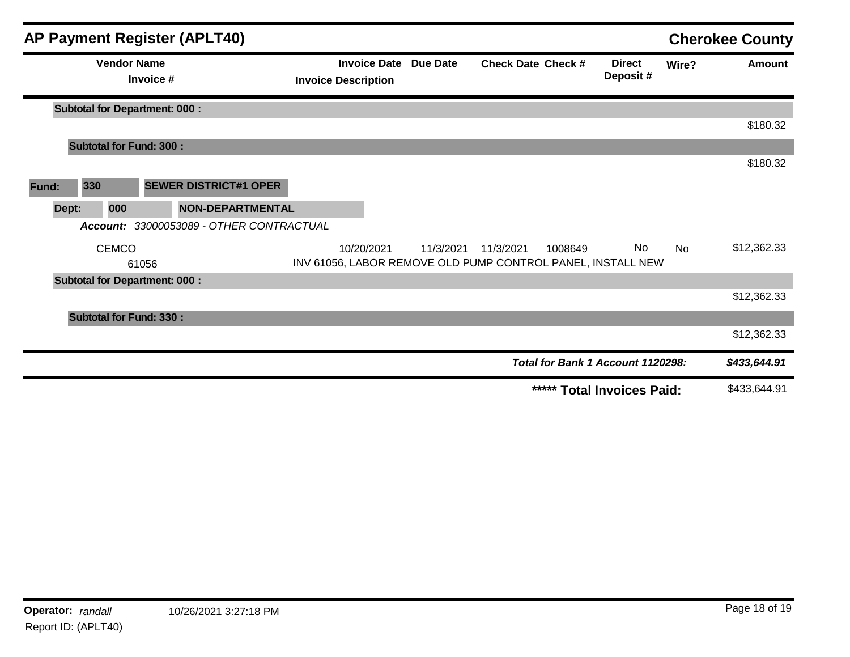|       |       |                                      |           | <b>AP Payment Register (APLT40)</b> |                            |            |                              |                           |         |                                                                   |       | <b>Cherokee County</b> |
|-------|-------|--------------------------------------|-----------|-------------------------------------|----------------------------|------------|------------------------------|---------------------------|---------|-------------------------------------------------------------------|-------|------------------------|
|       |       | <b>Vendor Name</b>                   | Invoice # |                                     | <b>Invoice Description</b> |            | <b>Invoice Date Due Date</b> | <b>Check Date Check #</b> |         | <b>Direct</b><br>Deposit#                                         | Wire? | <b>Amount</b>          |
|       |       | <b>Subtotal for Department: 000:</b> |           |                                     |                            |            |                              |                           |         |                                                                   |       |                        |
|       |       |                                      |           |                                     |                            |            |                              |                           |         |                                                                   |       | \$180.32               |
|       |       | <b>Subtotal for Fund: 300:</b>       |           |                                     |                            |            |                              |                           |         |                                                                   |       |                        |
|       |       |                                      |           |                                     |                            |            |                              |                           |         |                                                                   |       | \$180.32               |
| Fund: | 330   |                                      |           | <b>SEWER DISTRICT#1 OPER</b>        |                            |            |                              |                           |         |                                                                   |       |                        |
|       | Dept: | 000                                  |           | NON-DEPARTMENTAL                    |                            |            |                              |                           |         |                                                                   |       |                        |
|       |       | Account:                             |           | 33000053089 - OTHER CONTRACTUAL     |                            |            |                              |                           |         |                                                                   |       |                        |
|       |       | <b>CEMCO</b>                         | 61056     |                                     |                            | 10/20/2021 | 11/3/2021                    | 11/3/2021                 | 1008649 | No<br>INV 61056, LABOR REMOVE OLD PUMP CONTROL PANEL, INSTALL NEW | No    | \$12,362.33            |
|       |       | <b>Subtotal for Department: 000:</b> |           |                                     |                            |            |                              |                           |         |                                                                   |       |                        |
|       |       |                                      |           |                                     |                            |            |                              |                           |         |                                                                   |       | \$12,362.33            |
|       |       | <b>Subtotal for Fund: 330:</b>       |           |                                     |                            |            |                              |                           |         |                                                                   |       |                        |
|       |       |                                      |           |                                     |                            |            |                              |                           |         |                                                                   |       | \$12,362.33            |
|       |       |                                      |           |                                     |                            |            |                              |                           |         | Total for Bank 1 Account 1120298:                                 |       | \$433,644.91           |
|       |       |                                      |           |                                     |                            |            |                              |                           |         | ***** Total Invoices Paid:                                        |       | \$433,644.91           |